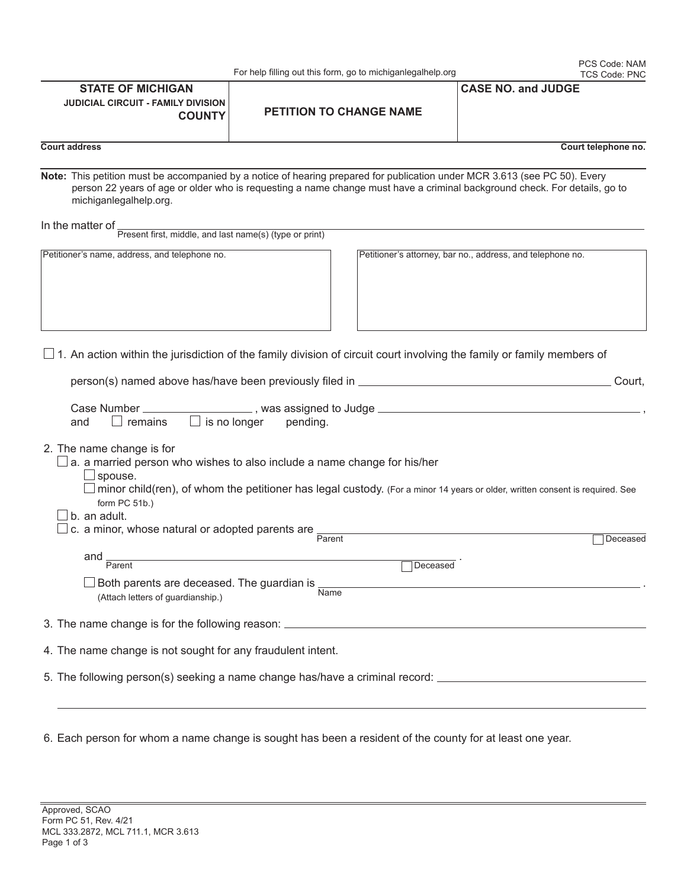| 4. The name change is not sought for any fraudulent intent.                           |
|---------------------------------------------------------------------------------------|
| 5. The following person(s) seeking a name change has/have a criminal record: $\equiv$ |
|                                                                                       |

**STATE OF MICHIGAN**

6. Each person for whom a name change is sought has been a resident of the county for at least one year.

## For help filling out this form, go to michiganlegalhelp.org

| <b>JUDICIAL CIRCUIT - FAMILY DIVISION</b><br><b>COUNTY</b>                                                                                     | <b>PETITION TO CHANGE NAME</b>                                                                                                                                                                                                                          |                                                            |
|------------------------------------------------------------------------------------------------------------------------------------------------|---------------------------------------------------------------------------------------------------------------------------------------------------------------------------------------------------------------------------------------------------------|------------------------------------------------------------|
| <b>Court address</b>                                                                                                                           |                                                                                                                                                                                                                                                         | Court telephone no.                                        |
| michiganlegalhelp.org.                                                                                                                         | Note: This petition must be accompanied by a notice of hearing prepared for publication under MCR 3.613 (see PC 50). Every<br>person 22 years of age or older who is requesting a name change must have a criminal background check. For details, go to |                                                            |
| In the matter of $\frac{1}{\text{Present first, middle, and last name(s) (type or print)}}$                                                    |                                                                                                                                                                                                                                                         |                                                            |
|                                                                                                                                                |                                                                                                                                                                                                                                                         |                                                            |
| Petitioner's name, address, and telephone no.                                                                                                  |                                                                                                                                                                                                                                                         | Petitioner's attorney, bar no., address, and telephone no. |
|                                                                                                                                                | $\square$ 1. An action within the jurisdiction of the family division of circuit court involving the family or family members of                                                                                                                        |                                                            |
|                                                                                                                                                | person(s) named above has/have been previously filed in _________________________                                                                                                                                                                       | Court,                                                     |
| Case Number ______<br>$\Box$ remains<br>and<br>$\Box$ is no longer                                                                             | pending.                                                                                                                                                                                                                                                |                                                            |
| 2. The name change is for<br>$\Box$ spouse.<br>form PC 51b.)<br>b. an adult.<br>c. a minor, whose natural or adopted parents are <b>Parent</b> | a. a married person who wishes to also include a name change for his/her<br>$\Box$ minor child(ren), of whom the petitioner has legal custody. (For a minor 14 years or older, written consent is required. See                                         |                                                            |
|                                                                                                                                                |                                                                                                                                                                                                                                                         | Deceased                                                   |
| and $\frac{1}{\text{Parent}}$                                                                                                                  | <u> 1980 - Johann Barn, mars ann an t-Amhain Aonaich an t-Aonaich an t-Aonaich ann an t-Aonaich ann an t-Aonaich</u><br>Deceased                                                                                                                        |                                                            |
| $\Box$ Both parents are deceased. The guardian is $\frac{1}{\textsf{Name}}$<br>(Attach letters of guardianship.)                               |                                                                                                                                                                                                                                                         |                                                            |
|                                                                                                                                                | 3. The name change is for the following reason: ________________________________                                                                                                                                                                        |                                                            |
| 4. The name change is not sought for any fraudulent intent.                                                                                    |                                                                                                                                                                                                                                                         |                                                            |

**CASE NO. and JUDGE**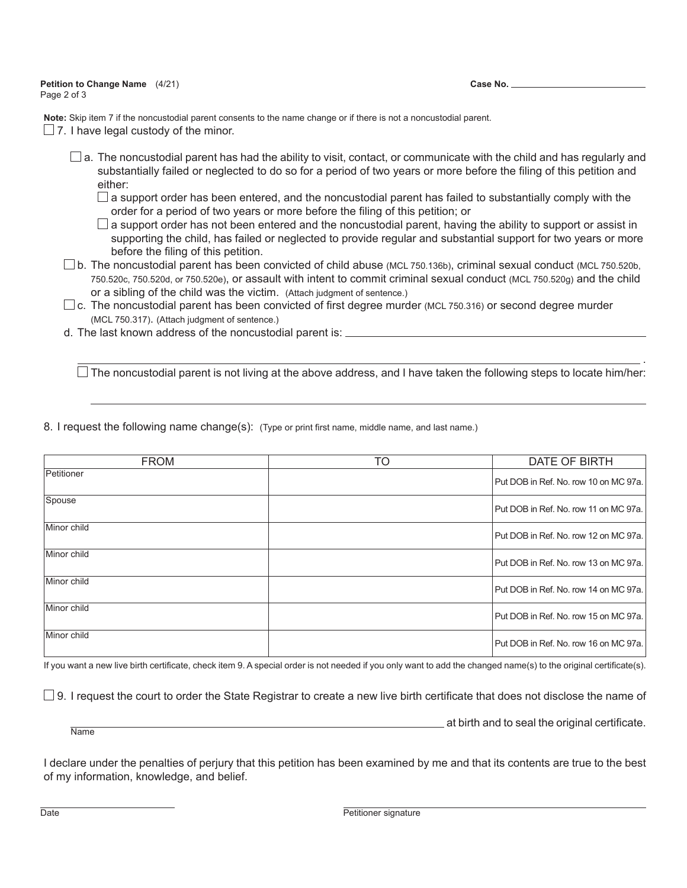## **Petition to Change Name** (4/21) Page 2 of 3

**Case No.**

**Note:** Skip item 7 if the noncustodial parent consents to the name change or if there is not a noncustodial parent.

- $\Box$  7. I have legal custody of the minor.
	- $\square$  a. The noncustodial parent has had the ability to visit, contact, or communicate with the child and has regularly and substantially failed or neglected to do so for a period of two years or more before the filing of this petition and either:
		- $\Box$  a support order has been entered, and the noncustodial parent has failed to substantially comply with the order for a period of two years or more before the filing of this petition; or
		- $\Box$  a support order has not been entered and the noncustodial parent, having the ability to support or assist in supporting the child, has failed or neglected to provide regular and substantial support for two years or more before the filing of this petition.
	- $\square$  b. The noncustodial parent has been convicted of child abuse (MCL 750.136b), criminal sexual conduct (MCL 750.520b, 750.520c, 750.520d, or 750.520e), or assault with intent to commit criminal sexual conduct (MCL 750.520g) and the child or a sibling of the child was the victim. (Attach judgment of sentence.)
	- $\square$  c. The noncustodial parent has been convicted of first degree murder (MCL 750.316) or second degree murder (MCL 750.317). (Attach judgment of sentence.)

.

d. The last known address of the noncustodial parent is:

 $\Box$  The noncustodial parent is not living at the above address, and I have taken the following steps to locate him/her:

8. I request the following name change(s): (Type or print first name, middle name, and last name.)

| <b>FROM</b> | TO | DATE OF BIRTH                         |
|-------------|----|---------------------------------------|
| Petitioner  |    | Put DOB in Ref. No. row 10 on MC 97a. |
| Spouse      |    | Put DOB in Ref. No. row 11 on MC 97a. |
| Minor child |    | Put DOB in Ref. No. row 12 on MC 97a. |
| Minor child |    | Put DOB in Ref. No. row 13 on MC 97a. |
| Minor child |    | Put DOB in Ref. No. row 14 on MC 97a. |
| Minor child |    | Put DOB in Ref. No. row 15 on MC 97a. |
| Minor child |    | Put DOB in Ref. No. row 16 on MC 97a. |

If you want a new live birth certificate, check item 9. A special order is not needed if you only want to add the changed name(s) to the original certificate(s).

 $\square$  9. I request the court to order the State Registrar to create a new live birth certificate that does not disclose the name of

 $\overline{\text{Name}}$  at birth and to seal the original certificate.

I declare under the penalties of perjury that this petition has been examined by me and that its contents are true to the best of my information, knowledge, and belief.

Date **Petitioner signature Petitioner signature**